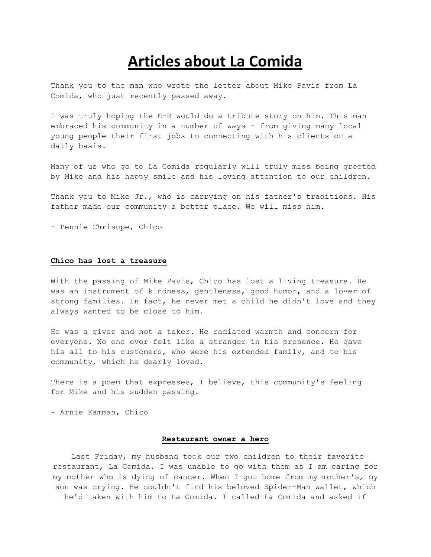# **Articles about La Comida**

Thank you to the man who wrote the letter about Mike Pavis from La Comida, who just recently passed away.

I was truly hoping the E-R would do a tribute story on him. This man embraced his community in a number of ways - from giving many local young people their first jobs to connecting with his clients on a daily basis.

Many of us who go to La Comida regularly will truly miss being greeted by Mike and his happy smile and his loving attention to our children.

Thank you to Mike Jr., who is carrying on his father's traditions. His father made our community a better place. We will miss him.

- Pennie Chrisope, Chico

#### **Chico has lost a treasure**

With the passing of Mike Pavis, Chico has lost a living treasure. He was an instrument of kindness, gentleness, good humor, and a lover of strong families. In fact, he never met a child he didn't love and they always wanted to be close to him.

He was a giver and not a taker. He radiated warmth and concern for everyone. No one ever felt like a stranger in his presence. He gave his all to his customers, who were his extended family, and to his community, which he dearly loved.

There is a poem that expresses, I believe, this community's feeling for Mike and his sudden passing.

- Arnie Kamman, Chico

#### **Restaurant owner a hero**

Last Friday, my husband took our two children to their favorite restaurant, La Comida. I was unable to go with them as I am caring for my mother who is dying of cancer. When I got home from my mother's, my son was crying. He couldn't find his beloved Spider-Man wallet, which he'd taken with him to La Comida. I called La Comida and asked if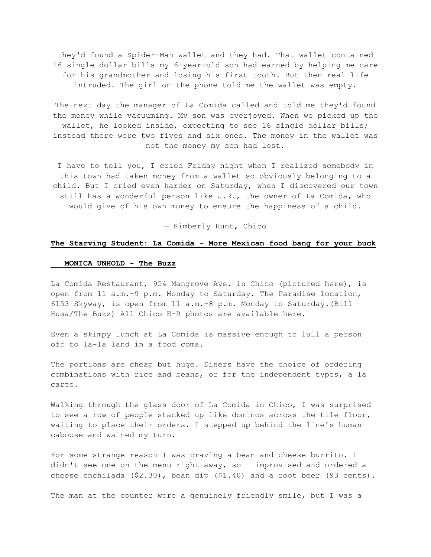they'd found a Spider-Man wallet and they had. That wallet contained 16 single dollar bills my 6-year-old son had earned by helping me care for his grandmother and losing his first tooth. But then real life intruded. The girl on the phone told me the wallet was empty.

The next day the manager of La Comida called and told me they'd found the money while vacuuming. My son was overjoyed. When we picked up the wallet, he looked inside, expecting to see 16 single dollar bills; instead there were two fives and six ones. The money in the wallet was not the money my son had lost.

I have to tell you, I cried Friday night when I realized somebody in this town had taken money from a wallet so obviously belonging to a child. But I cried even harder on Saturday, when I discovered our town still has a wonderful person like J.R., the owner of La Comida, who would give of his own money to ensure the happiness of a child.

— Kimberly Hunt, Chico

## **The Starving Student: La Comida - More Mexican food bang for your buck**

### **MONICA UNHOLD - The Buzz**

La Comida Restaurant, 954 Mangrove Ave. in Chico (pictured here), is open from 11 a.m.-9 p.m. Monday to Saturday. The Paradise location, 6153 Skyway, is open from 11 a.m.-8 p.m. Monday to Saturday.(Bill Husa/The Buzz) All Chico E-R photos are available here.

Even a skimpy lunch at La Comida is massive enough to lull a person off to la-la land in a food coma.

The portions are cheap but huge. Diners have the choice of ordering combinations with rice and beans, or for the independent types, a la carte.

Walking through the glass door of La Comida in Chico, I was surprised to see a row of people stacked up like dominos across the tile floor, waiting to place their orders. I stepped up behind the line's human caboose and waited my turn.

For some strange reason I was craving a bean and cheese burrito. I didn't see one on the menu right away, so I improvised and ordered a cheese enchilada (\$2.30), bean dip (\$1.40) and a root beer (93 cents).

The man at the counter wore a genuinely friendly smile, but I was a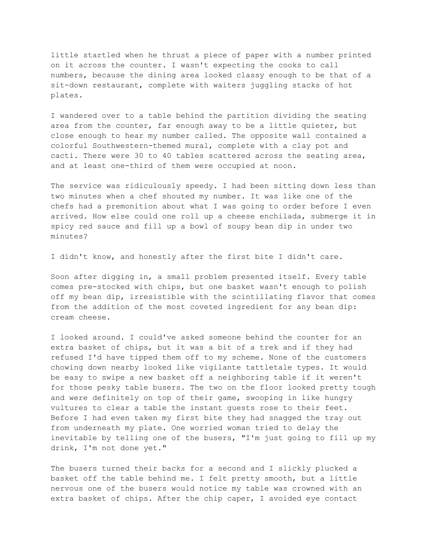little startled when he thrust a piece of paper with a number printed on it across the counter. I wasn't expecting the cooks to call numbers, because the dining area looked classy enough to be that of a sit-down restaurant, complete with waiters juggling stacks of hot plates.

I wandered over to a table behind the partition dividing the seating area from the counter, far enough away to be a little quieter, but close enough to hear my number called. The opposite wall contained a colorful Southwestern-themed mural, complete with a clay pot and cacti. There were 30 to 40 tables scattered across the seating area, and at least one-third of them were occupied at noon.

The service was ridiculously speedy. I had been sitting down less than two minutes when a chef shouted my number. It was like one of the chefs had a premonition about what I was going to order before I even arrived. How else could one roll up a cheese enchilada, submerge it in spicy red sauce and fill up a bowl of soupy bean dip in under two minutes?

I didn't know, and honestly after the first bite I didn't care.

Soon after digging in, a small problem presented itself. Every table comes pre-stocked with chips, but one basket wasn't enough to polish off my bean dip, irresistible with the scintillating flavor that comes from the addition of the most coveted ingredient for any bean dip: cream cheese.

I looked around. I could've asked someone behind the counter for an extra basket of chips, but it was a bit of a trek and if they had refused I'd have tipped them off to my scheme. None of the customers chowing down nearby looked like vigilante tattletale types. It would be easy to swipe a new basket off a neighboring table if it weren't for those pesky table busers. The two on the floor looked pretty tough and were definitely on top of their game, swooping in like hungry vultures to clear a table the instant guests rose to their feet. Before I had even taken my first bite they had snagged the tray out from underneath my plate. One worried woman tried to delay the inevitable by telling one of the busers, "I'm just going to fill up my drink, I'm not done yet."

The busers turned their backs for a second and I slickly plucked a basket off the table behind me. I felt pretty smooth, but a little nervous one of the busers would notice my table was crowned with an extra basket of chips. After the chip caper, I avoided eye contact